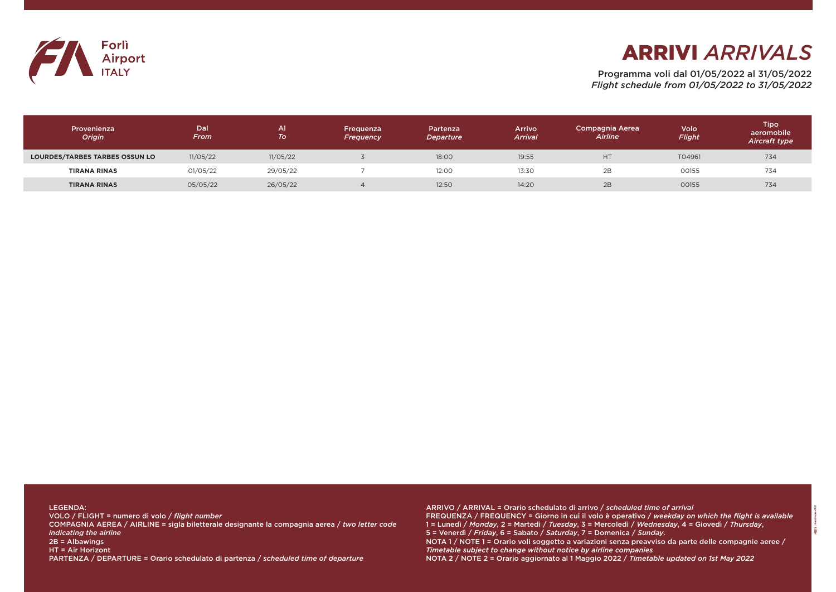Programma voli dal 01/05/2022 al 31/05/2022 *Flight schedule from 01/05/2022 to 31/05/2022*

ARRIVO / ARRIVAL = Orario schedulato di arrivo / *scheduled time of arrival* FREQUENZA / FREQUENCY = Giorno in cui il volo è operativo / *weekday on which the flight is available* 1 = Lunedì / *Monday*, 2 = Martedì / *Tuesday*, 3 = Mercoledì / *Wednesday*, 4 = Giovedì / *Thursday*, 5 = Venerdì / *Friday*, 6 = Sabato / *Saturday*, 7 = Domenica / *Sunday*. NOTA 1 / NOTE 1 = Orario voli soggetto a variazioni senza preavviso da parte delle compagnie aeree / *Timetable subject to change without notice by airline companies* NOTA 2 / NOTE 2 = Orario aggiornato al 1 Maggio 2022 / *Timetable updated on 1st May 2022*

LEGENDA: VOLO / FLIGHT = numero di volo / *flight number* COMPAGNIA AEREA / AIRLINE = sigla biletterale designante la compagnia aerea / *two letter code indicating the airline* 2B = Albawings HT = Air Horizont PARTENZA / DEPARTURE = Orario schedulato di partenza / *scheduled time of departure*



| Provenienza<br><b>Origin</b>          | Dal<br>From | <b>All</b><br> To | Frequenza<br>Frequency | Partenza<br>Departure | Arrivo<br><b>Arrival</b> | <b>Compagnia Aerea</b><br>Airline | Volo<br>Flight | Tipo<br>aeromobile<br><b>Aircraft type</b> |
|---------------------------------------|-------------|-------------------|------------------------|-----------------------|--------------------------|-----------------------------------|----------------|--------------------------------------------|
| <b>LOURDES/TARBES TARBES OSSUN LO</b> | 11/05/22    | 11/05/22          |                        | 18:00                 | 19:55                    | <b>HT</b>                         | T04961         | 734                                        |
| <b>TIRANA RINAS</b>                   | 01/05/22    | 29/05/22          |                        | 12:00                 | 13:30                    | 2B                                | 00155          | 734                                        |
| <b>TIRANA RINAS</b>                   | 05/05/22    | 26/05/22          |                        | 12:50                 | 14:20                    | 2B                                | 00155          | 734                                        |

## ARRIVI *ARRIVALS*